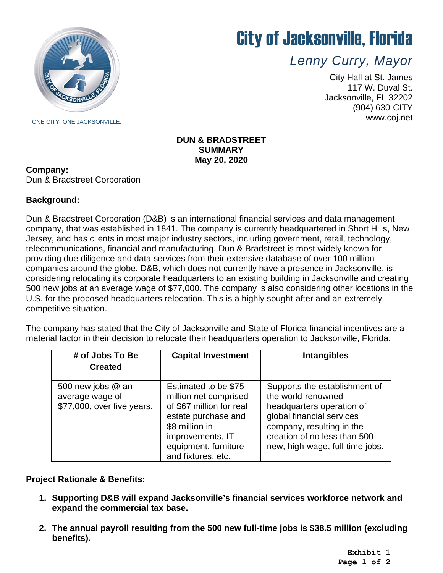

# City of Jacksonville, Florida

*Lenny Curry, Mayor*

City Hall at St. James 117 W. Duval St. Jacksonville, FL 32202 (904) 630-CITY www.coj.net

# **DUN & BRADSTREET SUMMARY May 20, 2020**

## **Company:**

Dun & Bradstreet Corporation

# **Background:**

Dun & Bradstreet Corporation (D&B) is an international financial services and data management company, that was established in 1841. The company is currently headquartered in Short Hills, New Jersey, and has clients in most major industry sectors, including government, retail, technology, telecommunications, financial and manufacturing. Dun & Bradstreet is most widely known for providing due diligence and data services from their extensive database of over 100 million companies around the globe. D&B, which does not currently have a presence in Jacksonville, is considering relocating its corporate headquarters to an existing building in Jacksonville and creating 500 new jobs at an average wage of \$77,000. The company is also considering other locations in the U.S. for the proposed headquarters relocation. This is a highly sought-after and an extremely competitive situation.

The company has stated that the City of Jacksonville and State of Florida financial incentives are a material factor in their decision to relocate their headquarters operation to Jacksonville, Florida.

| # of Jobs To Be<br><b>Created</b>                                  | <b>Capital Investment</b>                                                                                                                                                            | <b>Intangibles</b>                                                                                                                                                                                            |
|--------------------------------------------------------------------|--------------------------------------------------------------------------------------------------------------------------------------------------------------------------------------|---------------------------------------------------------------------------------------------------------------------------------------------------------------------------------------------------------------|
| 500 new jobs @ an<br>average wage of<br>\$77,000, over five years. | Estimated to be \$75<br>million net comprised<br>of \$67 million for real<br>estate purchase and<br>\$8 million in<br>improvements, IT<br>equipment, furniture<br>and fixtures, etc. | Supports the establishment of<br>the world-renowned<br>headquarters operation of<br>global financial services<br>company, resulting in the<br>creation of no less than 500<br>new, high-wage, full-time jobs. |

**Project Rationale & Benefits:**

- **1. Supporting D&B will expand Jacksonville's financial services workforce network and expand the commercial tax base.**
- **2. The annual payroll resulting from the 500 new full-time jobs is \$38.5 million (excluding benefits).**

**Exhibit 1 Page 1 of 2**